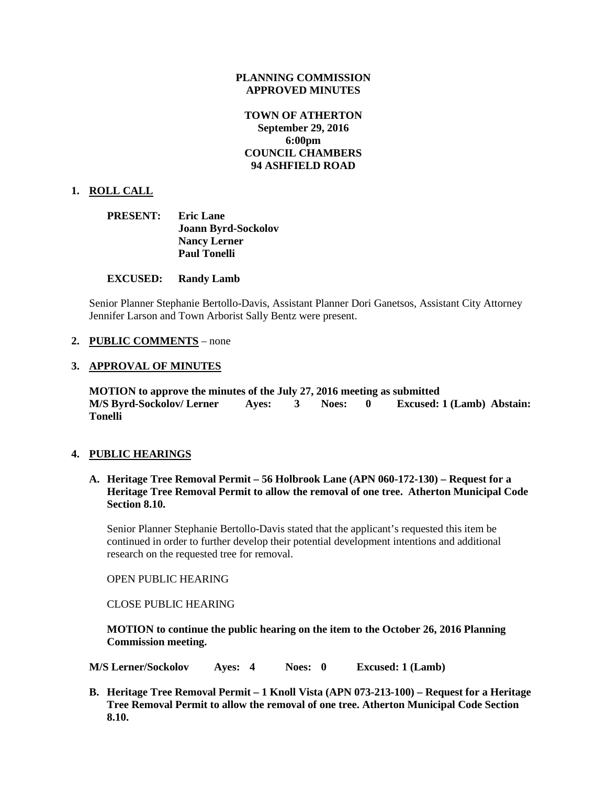### **PLANNING COMMISSION APPROVED MINUTES**

# **TOWN OF ATHERTON September 29, 2016 6:00pm COUNCIL CHAMBERS 94 ASHFIELD ROAD**

# **1. ROLL CALL**

| <b>PRESENT:</b> | <b>Eric Lane</b>           |  |
|-----------------|----------------------------|--|
|                 | <b>Joann Byrd-Sockolov</b> |  |
|                 | <b>Nancy Lerner</b>        |  |
|                 | <b>Paul Tonelli</b>        |  |

#### **EXCUSED: Randy Lamb**

Senior Planner Stephanie Bertollo-Davis, Assistant Planner Dori Ganetsos, Assistant City Attorney Jennifer Larson and Town Arborist Sally Bentz were present.

#### **2. PUBLIC COMMENTS** – none

#### **3. APPROVAL OF MINUTES**

**MOTION to approve the minutes of the July 27, 2016 meeting as submitted M/S Byrd-Sockolov/ Lerner Ayes: 3 Noes: 0 Excused: 1 (Lamb) Abstain: Tonelli**

#### **4. PUBLIC HEARINGS**

**A. Heritage Tree Removal Permit – 56 Holbrook Lane (APN 060-172-130) – Request for a Heritage Tree Removal Permit to allow the removal of one tree. Atherton Municipal Code Section 8.10.**

Senior Planner Stephanie Bertollo-Davis stated that the applicant's requested this item be continued in order to further develop their potential development intentions and additional research on the requested tree for removal.

OPEN PUBLIC HEARING

CLOSE PUBLIC HEARING

**MOTION to continue the public hearing on the item to the October 26, 2016 Planning Commission meeting.**

**M/S Lerner/Sockolov Ayes: 4 Noes: 0 Excused: 1 (Lamb)**

**B. Heritage Tree Removal Permit – 1 Knoll Vista (APN 073-213-100) – Request for a Heritage Tree Removal Permit to allow the removal of one tree. Atherton Municipal Code Section 8.10.**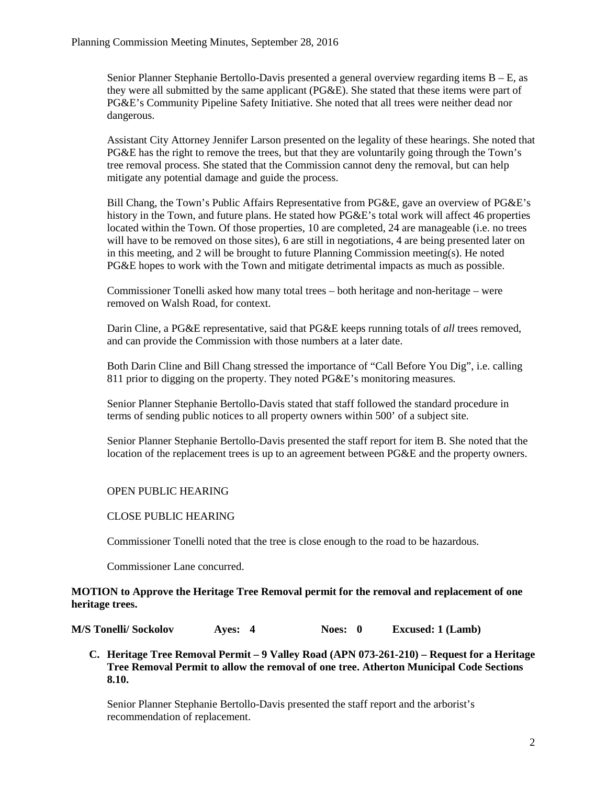Senior Planner Stephanie Bertollo-Davis presented a general overview regarding items  $B - E$ , as they were all submitted by the same applicant (PG&E). She stated that these items were part of PG&E's Community Pipeline Safety Initiative. She noted that all trees were neither dead nor dangerous.

Assistant City Attorney Jennifer Larson presented on the legality of these hearings. She noted that PG&E has the right to remove the trees, but that they are voluntarily going through the Town's tree removal process. She stated that the Commission cannot deny the removal, but can help mitigate any potential damage and guide the process.

Bill Chang, the Town's Public Affairs Representative from PG&E, gave an overview of PG&E's history in the Town, and future plans. He stated how PG&E's total work will affect 46 properties located within the Town. Of those properties, 10 are completed, 24 are manageable (i.e. no trees will have to be removed on those sites), 6 are still in negotiations, 4 are being presented later on in this meeting, and 2 will be brought to future Planning Commission meeting(s). He noted PG&E hopes to work with the Town and mitigate detrimental impacts as much as possible.

Commissioner Tonelli asked how many total trees – both heritage and non-heritage – were removed on Walsh Road, for context.

Darin Cline, a PG&E representative, said that PG&E keeps running totals of *all* trees removed, and can provide the Commission with those numbers at a later date.

Both Darin Cline and Bill Chang stressed the importance of "Call Before You Dig", i.e. calling 811 prior to digging on the property. They noted PG&E's monitoring measures.

Senior Planner Stephanie Bertollo-Davis stated that staff followed the standard procedure in terms of sending public notices to all property owners within 500' of a subject site.

Senior Planner Stephanie Bertollo-Davis presented the staff report for item B. She noted that the location of the replacement trees is up to an agreement between PG&E and the property owners.

# OPEN PUBLIC HEARING

## CLOSE PUBLIC HEARING

Commissioner Tonelli noted that the tree is close enough to the road to be hazardous.

Commissioner Lane concurred.

## **MOTION to Approve the Heritage Tree Removal permit for the removal and replacement of one heritage trees.**

**M/S Tonelli/ Sockolov Ayes: 4 Noes: 0 Excused: 1 (Lamb)**

# **C. Heritage Tree Removal Permit – 9 Valley Road (APN 073-261-210) – Request for a Heritage Tree Removal Permit to allow the removal of one tree. Atherton Municipal Code Sections 8.10.**

Senior Planner Stephanie Bertollo-Davis presented the staff report and the arborist's recommendation of replacement.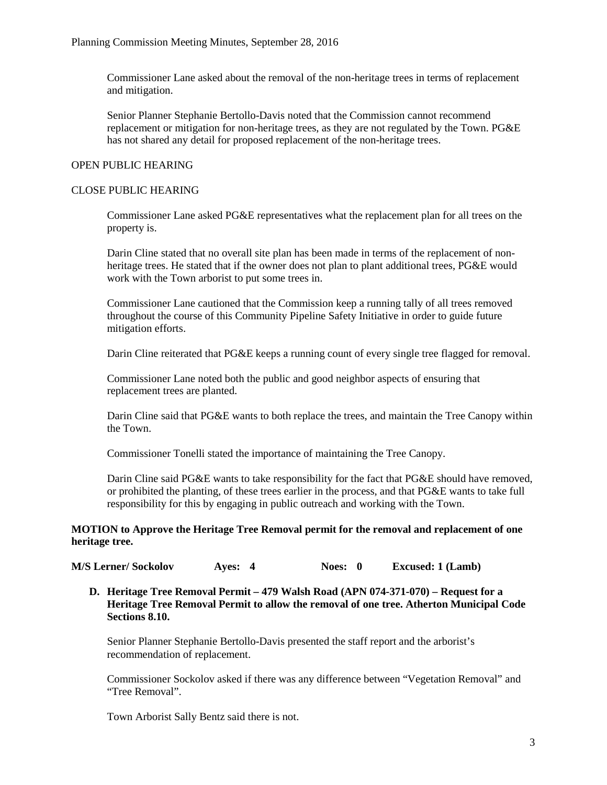Commissioner Lane asked about the removal of the non-heritage trees in terms of replacement and mitigation.

Senior Planner Stephanie Bertollo-Davis noted that the Commission cannot recommend replacement or mitigation for non-heritage trees, as they are not regulated by the Town. PG&E has not shared any detail for proposed replacement of the non-heritage trees.

# OPEN PUBLIC HEARING

# CLOSE PUBLIC HEARING

Commissioner Lane asked PG&E representatives what the replacement plan for all trees on the property is.

Darin Cline stated that no overall site plan has been made in terms of the replacement of nonheritage trees. He stated that if the owner does not plan to plant additional trees, PG&E would work with the Town arborist to put some trees in.

Commissioner Lane cautioned that the Commission keep a running tally of all trees removed throughout the course of this Community Pipeline Safety Initiative in order to guide future mitigation efforts.

Darin Cline reiterated that PG&E keeps a running count of every single tree flagged for removal.

Commissioner Lane noted both the public and good neighbor aspects of ensuring that replacement trees are planted.

Darin Cline said that PG&E wants to both replace the trees, and maintain the Tree Canopy within the Town.

Commissioner Tonelli stated the importance of maintaining the Tree Canopy.

Darin Cline said PG&E wants to take responsibility for the fact that PG&E should have removed, or prohibited the planting, of these trees earlier in the process, and that PG&E wants to take full responsibility for this by engaging in public outreach and working with the Town.

## **MOTION to Approve the Heritage Tree Removal permit for the removal and replacement of one heritage tree.**

**M/S Lerner/ Sockolov Ayes: 4 Noes: 0 Excused: 1 (Lamb)**

**D. Heritage Tree Removal Permit – 479 Walsh Road (APN 074-371-070) – Request for a Heritage Tree Removal Permit to allow the removal of one tree. Atherton Municipal Code Sections 8.10.** 

Senior Planner Stephanie Bertollo-Davis presented the staff report and the arborist's recommendation of replacement.

Commissioner Sockolov asked if there was any difference between "Vegetation Removal" and "Tree Removal".

Town Arborist Sally Bentz said there is not.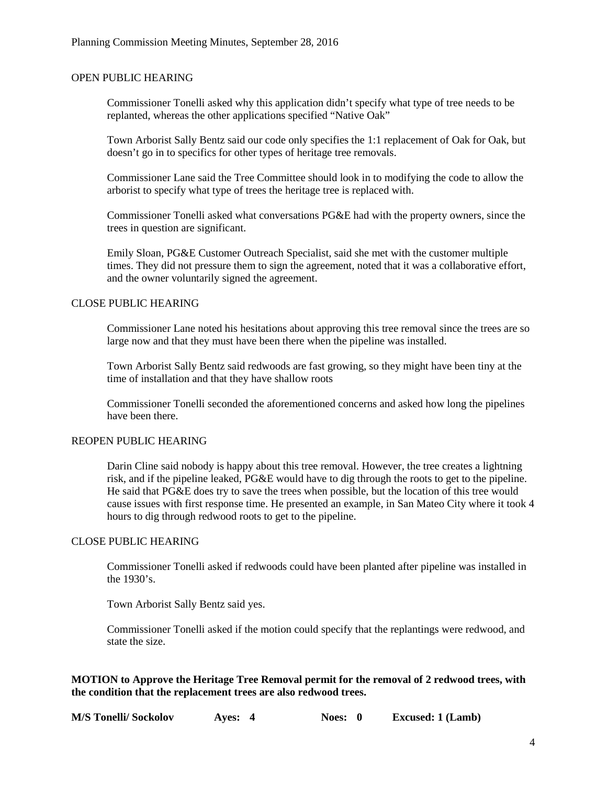### OPEN PUBLIC HEARING

Commissioner Tonelli asked why this application didn't specify what type of tree needs to be replanted, whereas the other applications specified "Native Oak"

Town Arborist Sally Bentz said our code only specifies the 1:1 replacement of Oak for Oak, but doesn't go in to specifics for other types of heritage tree removals.

Commissioner Lane said the Tree Committee should look in to modifying the code to allow the arborist to specify what type of trees the heritage tree is replaced with.

Commissioner Tonelli asked what conversations PG&E had with the property owners, since the trees in question are significant.

Emily Sloan, PG&E Customer Outreach Specialist, said she met with the customer multiple times. They did not pressure them to sign the agreement, noted that it was a collaborative effort, and the owner voluntarily signed the agreement.

## CLOSE PUBLIC HEARING

Commissioner Lane noted his hesitations about approving this tree removal since the trees are so large now and that they must have been there when the pipeline was installed.

Town Arborist Sally Bentz said redwoods are fast growing, so they might have been tiny at the time of installation and that they have shallow roots

Commissioner Tonelli seconded the aforementioned concerns and asked how long the pipelines have been there.

## REOPEN PUBLIC HEARING

Darin Cline said nobody is happy about this tree removal. However, the tree creates a lightning risk, and if the pipeline leaked, PG&E would have to dig through the roots to get to the pipeline. He said that PG&E does try to save the trees when possible, but the location of this tree would cause issues with first response time. He presented an example, in San Mateo City where it took 4 hours to dig through redwood roots to get to the pipeline.

### CLOSE PUBLIC HEARING

Commissioner Tonelli asked if redwoods could have been planted after pipeline was installed in the 1930's.

Town Arborist Sally Bentz said yes.

Commissioner Tonelli asked if the motion could specify that the replantings were redwood, and state the size.

## **MOTION to Approve the Heritage Tree Removal permit for the removal of 2 redwood trees, with the condition that the replacement trees are also redwood trees.**

| <b>M/S Tonelli/ Sockolov</b> | Aves: 4 | Noes: 0 | <b>Excused: 1 (Lamb)</b> |
|------------------------------|---------|---------|--------------------------|
|------------------------------|---------|---------|--------------------------|